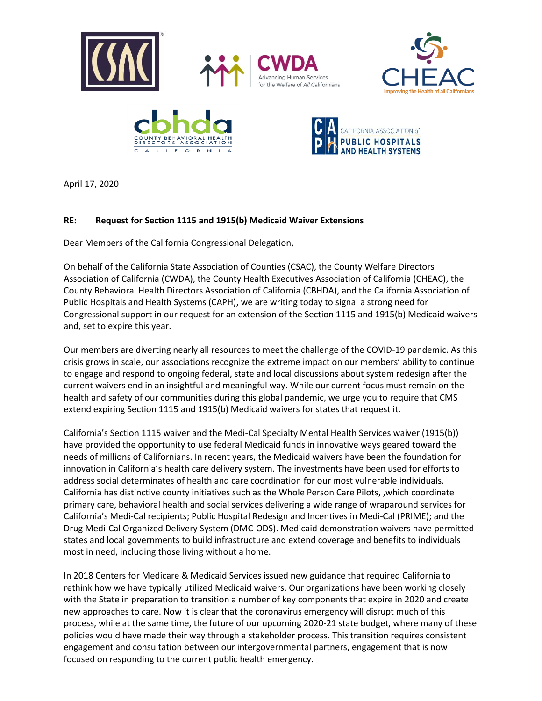

April 17, 2020

## **RE: Request for Section 1115 and 1915(b) Medicaid Waiver Extensions**

Dear Members of the California Congressional Delegation,

On behalf of the California State Association of Counties (CSAC), the County Welfare Directors Association of California (CWDA), the County Health Executives Association of California (CHEAC), the County Behavioral Health Directors Association of California (CBHDA), and the California Association of Public Hospitals and Health Systems (CAPH), we are writing today to signal a strong need for Congressional support in our request for an extension of the Section 1115 and 1915(b) Medicaid waivers and, set to expire this year.

Our members are diverting nearly all resources to meet the challenge of the COVID-19 pandemic. As this crisis grows in scale, our associations recognize the extreme impact on our members' ability to continue to engage and respond to ongoing federal, state and local discussions about system redesign after the current waivers end in an insightful and meaningful way. While our current focus must remain on the health and safety of our communities during this global pandemic, we urge you to require that CMS extend expiring Section 1115 and 1915(b) Medicaid waivers for states that request it.

California's Section 1115 waiver and the Medi-Cal Specialty Mental Health Services waiver (1915(b)) have provided the opportunity to use federal Medicaid funds in innovative ways geared toward the needs of millions of Californians. In recent years, the Medicaid waivers have been the foundation for innovation in California's health care delivery system. The investments have been used for efforts to address social determinates of health and care coordination for our most vulnerable individuals. California has distinctive county initiatives such as the Whole Person Care Pilots, ,which coordinate primary care, behavioral health and social services delivering a wide range of wraparound services for California's Medi-Cal recipients; Public Hospital Redesign and Incentives in Medi-Cal (PRIME); and the Drug Medi-Cal Organized Delivery System (DMC-ODS). Medicaid demonstration waivers have permitted states and local governments to build infrastructure and extend coverage and benefits to individuals most in need, including those living without a home.

In 2018 Centers for Medicare & Medicaid Services issued new guidance that required California to rethink how we have typically utilized Medicaid waivers. Our organizations have been working closely with the State in preparation to transition a number of key components that expire in 2020 and create new approaches to care. Now it is clear that the coronavirus emergency will disrupt much of this process, while at the same time, the future of our upcoming 2020-21 state budget, where many of these policies would have made their way through a stakeholder process. This transition requires consistent engagement and consultation between our intergovernmental partners, engagement that is now focused on responding to the current public health emergency.